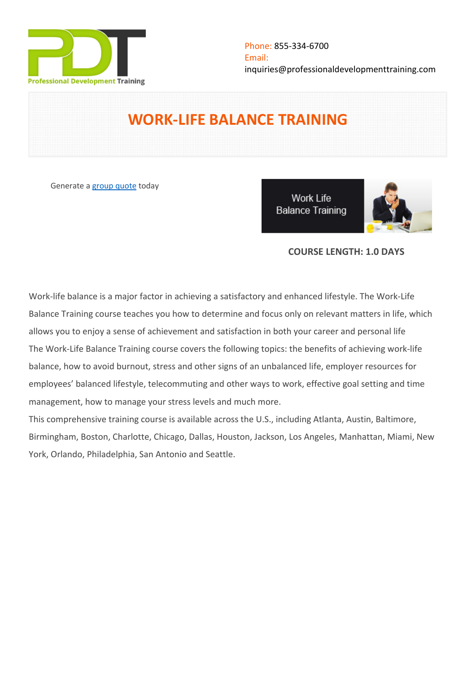

# **WORK-LIFE BALANCE TRAINING**

Generate a [group quote](https://professionaldevelopmenttraining.com/inhouse-training-quote?cse=PDU00056) today

**Work Life Balance Training** 



## **COURSE LENGTH: 1.0 DAYS**

Work-life balance is a major factor in achieving a satisfactory and enhanced lifestyle. The Work-Life Balance Training course teaches you how to determine and focus only on relevant matters in life, which allows you to enjoy a sense of achievement and satisfaction in both your career and personal life The Work-Life Balance Training course covers the following topics: the benefits of achieving work-life balance, how to avoid burnout, stress and other signs of an unbalanced life, employer resources for employees' balanced lifestyle, telecommuting and other ways to work, effective goal setting and time management, how to manage your stress levels and much more.

This comprehensive training course is available across the U.S., including Atlanta, Austin, Baltimore, Birmingham, Boston, Charlotte, Chicago, Dallas, Houston, Jackson, Los Angeles, Manhattan, Miami, New York, Orlando, Philadelphia, San Antonio and Seattle.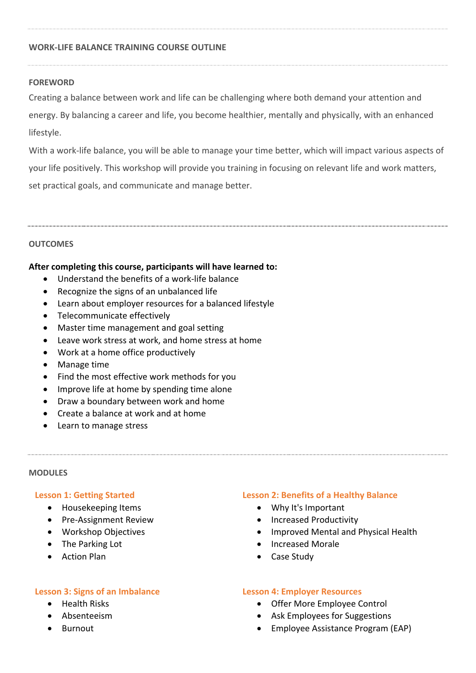## **WORK-LIFE BALANCE TRAINING COURSE OUTLINE**

## **FOREWORD**

Creating a balance between work and life can be challenging where both demand your attention and energy. By balancing a career and life, you become healthier, mentally and physically, with an enhanced lifestyle.

With a work-life balance, you will be able to manage your time better, which will impact various aspects of your life positively. This workshop will provide you training in focusing on relevant life and work matters, set practical goals, and communicate and manage better.

## **OUTCOMES**

## **After completing this course, participants will have learned to:**

- Understand the benefits of a work-life balance
- Recognize the signs of an unbalanced life
- Learn about employer resources for a balanced lifestyle
- Telecommunicate effectively
- Master time management and goal setting
- Leave work stress at work, and home stress at home
- Work at a home office productively
- Manage time
- Find the most effective work methods for you
- Improve life at home by spending time alone
- Draw a boundary between work and home
- Create a balance at work and at home
- Learn to manage stress

#### **MODULES**

#### **Lesson 1: Getting Started**

- Housekeeping Items
- Pre-Assignment Review
- Workshop Objectives
- The Parking Lot
- Action Plan

#### **Lesson 3: Signs of an Imbalance**

- Health Risks
- Absenteeism
- Burnout

#### **Lesson 2: Benefits of a Healthy Balance**

- Why It's Important
- Increased Productivity
- Improved Mental and Physical Health
- Increased Morale
- Case Study

#### **Lesson 4: Employer Resources**

- Offer More Employee Control
- Ask Employees for Suggestions
- Employee Assistance Program (EAP)